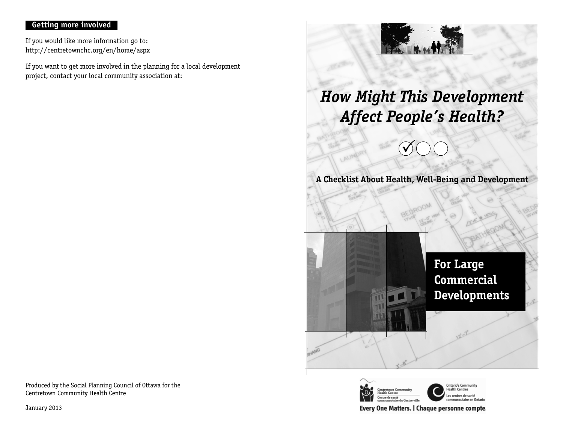## **Getting more involved**

If you would like more information go to: http://centretownchc.org/en/home/aspx

If you want to get more involved in the planning for a local development project, contact your local community association at:





Every One Matters. | Chaque personne compte.

Produced by the Social Planning Council of Ottawa for the Centretown Community Health Centre

January 2013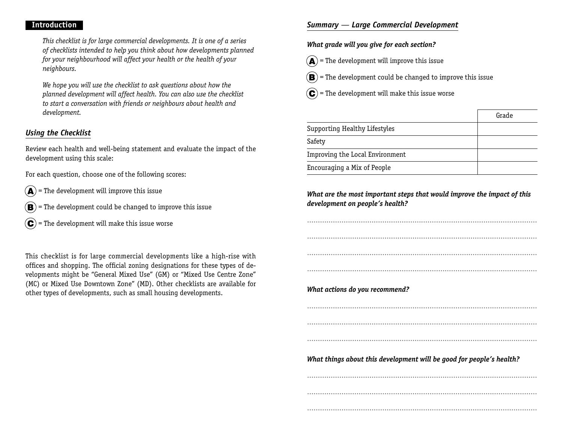#### **Introduction**

This checklist is for large commercial developments. It is one of a series of checklists intended to help you think about how developments planned for your neighbourhood will affect your health or the health of your neighbours.

We hope you will use the checklist to ask questions about how the planned development will affect health. You can also use the checklist to start a conversation with friends or neighbours about health and development.

## *Using the Checklist*

Review each health and well-being statement and evaluate the impact of the development using this scale:

For each question, choose one of the following scores:

- $\mathbf{A}$  = The development will improve this issue
- $(\mathbf{B})$  = The development could be changed to improve this issue
- $(\mathbf{C})$  = The development will make this issue worse

This checklist is for large commercial developments like a high-rise with offices and shopping. The official zoning designations for these types of developments might be "General Mixed Use" (GM) or "Mixed Use Centre Zone" (MC) or Mixed Use Downtown Zone" (MD). Other checklists are available for other types of developments, such as small housing developments.

### *Summary — Large Commercial Development*

#### **What grade will you give for each section?**

- $\mathbf{A}$  = The development will improve this issue
- $\left(\mathbf{B}\right)$  = The development could be changed to improve this issue
- $(\mathbf{C})$  = The development will make this issue worse

|                                 | Grade |
|---------------------------------|-------|
| Supporting Healthy Lifestyles   |       |
| Safety                          |       |
| Improving the Local Environment |       |
| Encouraging a Mix of People     |       |

### **What are the most important steps that would improve the impact of this development on people's health?**

...........................................................................................................

...........................................................................................................

...........................................................................................................

...........................................................................................................

**What actions do you recommend?**

...........................................................................................................

...........................................................................................................

...........................................................................................................

**What things about this development will be good for people's health?**

......................................................................................................................................................................................................................

...........................................................................................................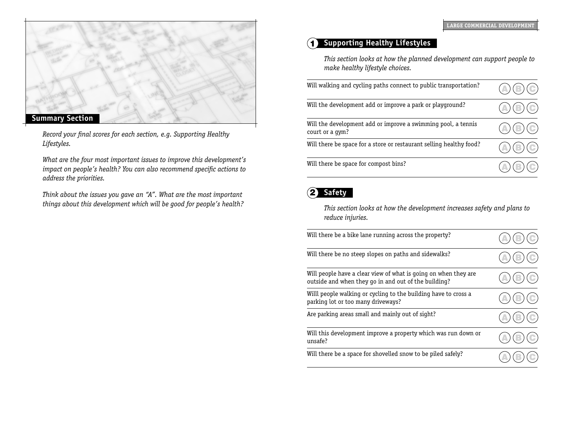

Record your final scores for each section, e.g. Supporting Healthy Lifestyles.

What are the four most important issues to improve this development's impact on people's health? You can also recommend specific actions to address the priorities.

Think about the issues you gave an "A". What are the most important things about this development which will be good for people's health?

# 1 **Supporting Healthy Lifestyles**

This section looks at how the planned development can support people to make healthy lifestyle choices.

| Will walking and cycling paths connect to public transportation?                 | $\textcircled{\scriptsize{\textcircled{\small{E}}}}$ |
|----------------------------------------------------------------------------------|------------------------------------------------------|
| Will the development add or improve a park or playground?                        | $(\triangle)(\mathbb{B})(\mathbb{C})$                |
| Will the development add or improve a swimming pool, a tennis<br>court or a gym? | $(\mathbb{A})(\mathbb{B})(\mathbb{C})$               |
| Will there be space for a store or restaurant selling healthy food?              | $(\mathbb{A})(\mathbb{B})(\mathbb{C})$               |
| Will there be space for compost bins?                                            |                                                      |

# 2 **Safety**

This section looks at how the development increases safety and plans to reduce injuries.

| Will there be a bike lane running across the property?                                                                  |  |
|-------------------------------------------------------------------------------------------------------------------------|--|
| Will there be no steep slopes on paths and sidewalks?                                                                   |  |
| Will people have a clear view of what is going on when they are<br>outside and when they go in and out of the building? |  |
| Willl people walking or cycling to the building have to cross a<br>parking lot or too many driveways?                   |  |
| Are parking areas small and mainly out of sight?                                                                        |  |
| Will this development improve a property which was run down or<br>unsafe?                                               |  |
| Will there be a space for shovelled snow to be piled safely?                                                            |  |
|                                                                                                                         |  |